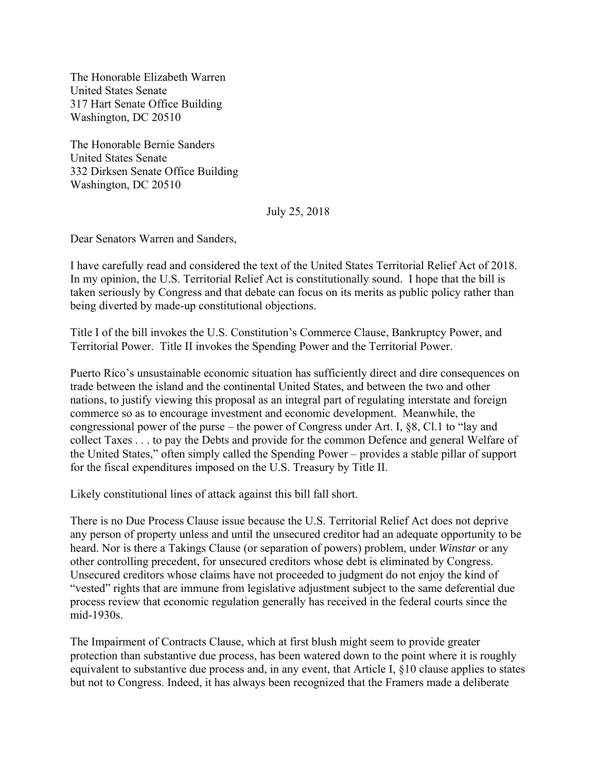The Honorable Elizabeth Warren United States Senate 317 Hart Senate Office Building Washington, DC 20510

The Honorable Bernie Sanders United States Senate 332 Dirksen Senate Office Building Washington, DC 20510

July 25, 2018

Dear Senators Warren and Sanders,

I have carefully read and considered the text of the United States Territorial Relief Act of 2018. In my opinion, the U.S. Territorial Relief Act is constitutionally sound. I hope that the bill is taken seriously by Congress and that debate can focus on its merits as public policy rather than being diverted by made-up constitutional objections.

Title I of the bill invokes the U.S. Constitution's Commerce Clause, Bankruptcy Power, and Territorial Power. Title II invokes the Spending Power and the Territorial Power.

Puerto Rico's unsustainable economic situation has sufficiently direct and dire consequences on trade between the island and the continental United States, and between the two and other nations, to justify viewing this proposal as an integral part of regulating interstate and foreign commerce so as to encourage investment and economic development. Meanwhile, the congressional power of the purse – the power of Congress under Art. I, §8, Cl.1 to "lay and collect Taxes . . . to pay the Debts and provide for the common Defence and general Welfare of the United States," often simply called the Spending Power – provides a stable pillar of support for the fiscal expenditures imposed on the U.S. Treasury by Title II.

Likely constitutional lines of attack against this bill fall short.

There is no Due Process Clause issue because the U.S. Territorial Relief Act does not deprive any person of property unless and until the unsecured creditor had an adequate opportunity to be heard. Nor is there a Takings Clause (or separation of powers) problem, under *Winstar* or any other controlling precedent, for unsecured creditors whose debt is eliminated by Congress. Unsecured creditors whose claims have not proceeded to judgment do not enjoy the kind of "vested" rights that are immune from legislative adjustment subject to the same deferential due process review that economic regulation generally has received in the federal courts since the mid-1930s.

The Impairment of Contracts Clause, which at first blush might seem to provide greater protection than substantive due process, has been watered down to the point where it is roughly equivalent to substantive due process and, in any event, that Article I, §10 clause applies to states but not to Congress. Indeed, it has always been recognized that the Framers made a deliberate